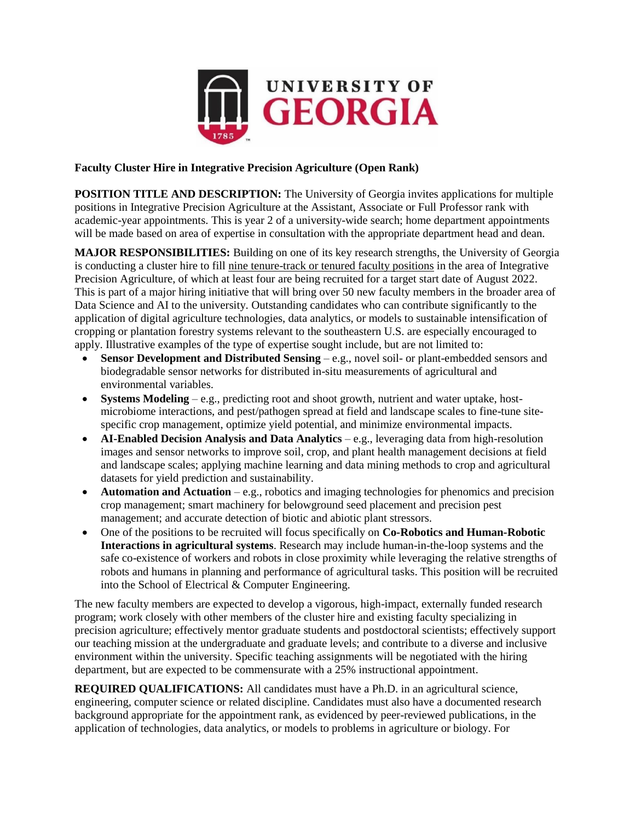

## **Faculty Cluster Hire in Integrative Precision Agriculture (Open Rank)**

**POSITION TITLE AND DESCRIPTION:** The University of Georgia invites applications for multiple positions in Integrative Precision Agriculture at the Assistant, Associate or Full Professor rank with academic-year appointments. This is year 2 of a university-wide search; home department appointments will be made based on area of expertise in consultation with the appropriate department head and dean.

**MAJOR RESPONSIBILITIES:** Building on one of its key research strengths, the University of Georgia is conducting a cluster hire to fill nine tenure-track or tenured faculty positions in the area of Integrative Precision Agriculture, of which at least four are being recruited for a target start date of August 2022. This is part of a major hiring initiative that will bring over 50 new faculty members in the broader area of Data Science and AI to the university. Outstanding candidates who can contribute significantly to the application of digital agriculture technologies, data analytics, or models to sustainable intensification of cropping or plantation forestry systems relevant to the southeastern U.S. are especially encouraged to apply. Illustrative examples of the type of expertise sought include, but are not limited to:

- **Sensor Development and Distributed Sensing** e.g., novel soil- or plant-embedded sensors and biodegradable sensor networks for distributed in-situ measurements of agricultural and environmental variables.
- **Systems Modeling** e.g., predicting root and shoot growth, nutrient and water uptake, hostmicrobiome interactions, and pest/pathogen spread at field and landscape scales to fine-tune sitespecific crop management, optimize yield potential, and minimize environmental impacts.
- **AI-Enabled Decision Analysis and Data Analytics** e.g., leveraging data from high-resolution images and sensor networks to improve soil, crop, and plant health management decisions at field and landscape scales; applying machine learning and data mining methods to crop and agricultural datasets for yield prediction and sustainability.
- **Automation and Actuation** e.g., robotics and imaging technologies for phenomics and precision crop management; smart machinery for belowground seed placement and precision pest management; and accurate detection of biotic and abiotic plant stressors.
- One of the positions to be recruited will focus specifically on **Co-Robotics and Human-Robotic Interactions in agricultural systems**. Research may include human-in-the-loop systems and the safe co-existence of workers and robots in close proximity while leveraging the relative strengths of robots and humans in planning and performance of agricultural tasks. This position will be recruited into the School of Electrical & Computer Engineering.

The new faculty members are expected to develop a vigorous, high-impact, externally funded research program; work closely with other members of the cluster hire and existing faculty specializing in precision agriculture; effectively mentor graduate students and postdoctoral scientists; effectively support our teaching mission at the undergraduate and graduate levels; and contribute to a diverse and inclusive environment within the university. Specific teaching assignments will be negotiated with the hiring department, but are expected to be commensurate with a 25% instructional appointment.

**REQUIRED QUALIFICATIONS:** All candidates must have a Ph.D. in an agricultural science, engineering, computer science or related discipline. Candidates must also have a documented research background appropriate for the appointment rank, as evidenced by peer-reviewed publications, in the application of technologies, data analytics, or models to problems in agriculture or biology. For